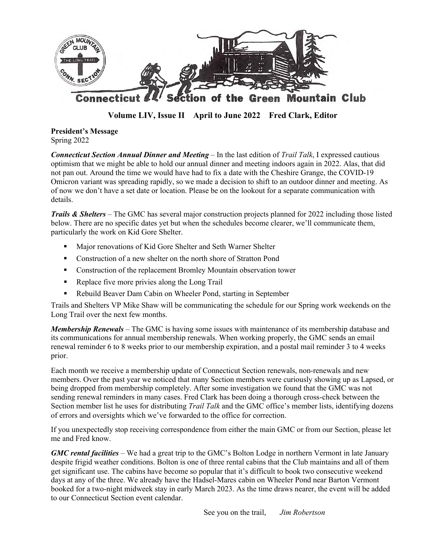

**Volume LIV, Issue II April to June 2022 Fred Clark, Editor**

**President's Message** Spring 2022

*Connecticut Section Annual Dinner and Meeting* – In the last edition of *Trail Talk*, I expressed cautious optimism that we might be able to hold our annual dinner and meeting indoors again in 2022. Alas, that did not pan out. Around the time we would have had to fix a date with the Cheshire Grange, the COVID-19 Omicron variant was spreading rapidly, so we made a decision to shift to an outdoor dinner and meeting. As of now we don't have a set date or location. Please be on the lookout for a separate communication with details.

*Trails & Shelters* – The GMC has several major construction projects planned for 2022 including those listed below. There are no specific dates yet but when the schedules become clearer, we'll communicate them, particularly the work on Kid Gore Shelter.

- ! Major renovations of Kid Gore Shelter and Seth Warner Shelter
- ! Construction of a new shelter on the north shore of Stratton Pond
- ! Construction of the replacement Bromley Mountain observation tower
- **EXECUTE:** Replace five more privies along the Long Trail
- ! Rebuild Beaver Dam Cabin on Wheeler Pond, starting in September

Trails and Shelters VP Mike Shaw will be communicating the schedule for our Spring work weekends on the Long Trail over the next few months.

*Membership Renewals* – The GMC is having some issues with maintenance of its membership database and its communications for annual membership renewals. When working properly, the GMC sends an email renewal reminder 6 to 8 weeks prior to our membership expiration, and a postal mail reminder 3 to 4 weeks prior.

Each month we receive a membership update of Connecticut Section renewals, non-renewals and new members. Over the past year we noticed that many Section members were curiously showing up as Lapsed, or being dropped from membership completely. After some investigation we found that the GMC was not sending renewal reminders in many cases. Fred Clark has been doing a thorough cross-check between the Section member list he uses for distributing *Trail Talk* and the GMC office's member lists, identifying dozens of errors and oversights which we've forwarded to the office for correction.

If you unexpectedly stop receiving correspondence from either the main GMC or from our Section, please let me and Fred know.

*GMC rental facilities* – We had a great trip to the GMC's Bolton Lodge in northern Vermont in late January despite frigid weather conditions. Bolton is one of three rental cabins that the Club maintains and all of them get significant use. The cabins have become so popular that it's difficult to book two consecutive weekend days at any of the three. We already have the Hadsel-Mares cabin on Wheeler Pond near Barton Vermont booked for a two-night midweek stay in early March 2023. As the time draws nearer, the event will be added to our Connecticut Section event calendar.

See you on the trail, *Jim Robertson*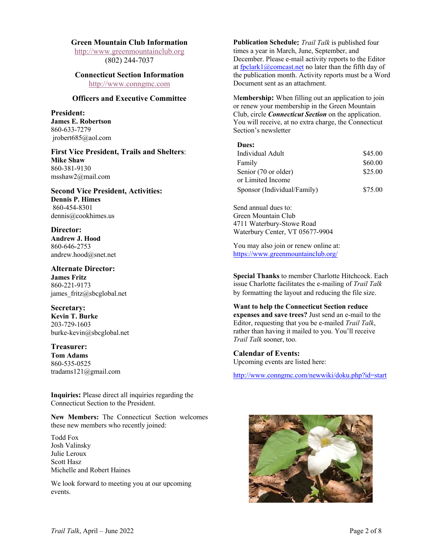#### **Green Mountain Club Information**

http://www.greenmountainclub.org (802) 244-7037

## **Connecticut Section Information**

http://www.conngmc.com

#### **Officers and Executive Committee**

**President: James E. Robertson** 860-633-7279 jrobert685@aol.com

**First Vice President, Trails and Shelters**: **Mike Shaw** 860-381-9130 msshaw2@mail.com

**Second Vice President, Activities: Dennis P. Himes** 860-454-8301 dennis@cookhimes.us

**Director: Andrew J. Hood** 860-646-2753 andrew.hood@snet.net

**Alternate Director: James Fritz** 860-221-9173 james fritz@sbcglobal.net

**Secretary: Kevin T. Burke** 203-729-1603 burke-kevin@sbcglobal.net

#### **Treasurer: Tom Adams** 860-535-0525 tradams121@gmail.com

**Inquiries:** Please direct all inquiries regarding the Connecticut Section to the President.

**New Members:** The Connecticut Section welcomes these new members who recently joined:

Todd Fox Josh Valinsky Julie Leroux Scott Hasz Michelle and Robert Haines

We look forward to meeting you at our upcoming events.

**Publication Schedule:** *Trail Talk* is published four times a year in March, June, September, and December. Please e-mail activity reports to the Editor at fpclark1@comcast.net no later than the fifth day of the publication month. Activity reports must be a Word Document sent as an attachment.

M**embership:** When filling out an application to join or renew your membership in the Green Mountain Club, circle *Connecticut Section* on the application. You will receive, at no extra charge, the Connecticut Section's newsletter

#### **Dues:**

| Individual Adult            | \$45.00 |
|-----------------------------|---------|
| Family                      | \$60.00 |
| Senior (70 or older)        | \$25.00 |
| or Limited Income           |         |
| Sponsor (Individual/Family) | \$75.00 |

Send annual dues to: Green Mountain Club 4711 Waterbury-Stowe Road Waterbury Center, VT 05677-9904

You may also join or renew online at: https://www.greenmountainclub.org/

**Special Thanks** to member Charlotte Hitchcock. Each issue Charlotte facilitates the e-mailing of *Trail Talk* by formatting the layout and reducing the file size.

**Want to help the Connecticut Section reduce expenses and save trees?** Just send an e-mail to the Editor, requesting that you be e-mailed *Trail Talk*, rather than having it mailed to you. You'll receive *Trail Talk* sooner, too.

**Calendar of Events:** Upcoming events are listed here:

http://www.conngmc.com/newwiki/doku.php?id=start

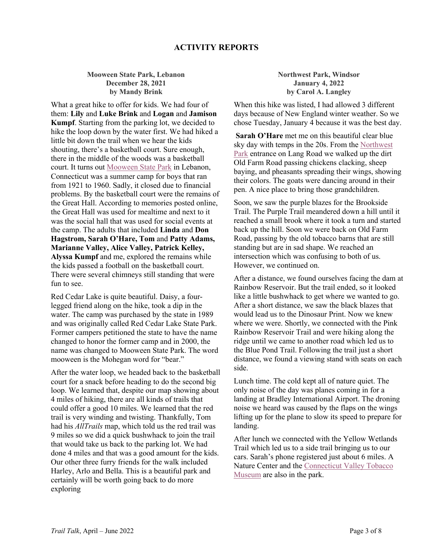## **ACTIVITY REPORTS**

**Mooween State Park, Lebanon December 28, 2021 by Mandy Brink**

What a great hike to offer for kids. We had four of them: **Lily** and **Luke Brink** and **Logan** and **Jamison Kumpf**. Starting from the parking lot, we decided to hike the loop down by the water first. We had hiked a little bit down the trail when we hear the kids shouting, there's a basketball court. Sure enough, there in the middle of the woods was a basketball court. It turns out Mooween State Park in Lebanon, Connecticut was a summer camp for boys that ran from 1921 to 1960. Sadly, it closed due to financial problems. By the basketball court were the remains of the Great Hall. According to memories posted online, the Great Hall was used for mealtime and next to it was the social hall that was used for social events at the camp. The adults that included **Linda** and **Don Hagstrom, Sarah O'Hare, Tom** and **Patty Adams, Marianne Valley, Alice Valley, Patrick Kelley, Alyssa Kumpf** and me, explored the remains while the kids passed a football on the basketball court. There were several chimneys still standing that were fun to see.

Red Cedar Lake is quite beautiful. Daisy, a fourlegged friend along on the hike, took a dip in the water. The camp was purchased by the state in 1989 and was originally called Red Cedar Lake State Park. Former campers petitioned the state to have the name changed to honor the former camp and in 2000, the name was changed to Mooween State Park. The word mooween is the Mohegan word for "bear."

After the water loop, we headed back to the basketball court for a snack before heading to do the second big loop. We learned that, despite our map showing about 4 miles of hiking, there are all kinds of trails that could offer a good 10 miles. We learned that the red trail is very winding and twisting. Thankfully, Tom had his *AllTrails* map, which told us the red trail was 9 miles so we did a quick bushwhack to join the trail that would take us back to the parking lot. We had done 4 miles and that was a good amount for the kids. Our other three furry friends for the walk included Harley, Arlo and Bella. This is a beautiful park and certainly will be worth going back to do more exploring

#### **Northwest Park, Windsor January 4, 2022 by Carol A. Langley**

When this hike was listed, I had allowed 3 different days because of New England winter weather. So we chose Tuesday, January 4 because it was the best day.

**Sarah O'Hare** met me on this beautiful clear blue sky day with temps in the 20s. From the Northwest Park entrance on Lang Road we walked up the dirt Old Farm Road passing chickens clacking, sheep baying, and pheasants spreading their wings, showing their colors. The goats were dancing around in their pen. A nice place to bring those grandchildren.

Soon, we saw the purple blazes for the Brookside Trail. The Purple Trail meandered down a hill until it reached a small brook where it took a turn and started back up the hill. Soon we were back on Old Farm Road, passing by the old tobacco barns that are still standing but are in sad shape. We reached an intersection which was confusing to both of us. However, we continued on.

After a distance, we found ourselves facing the dam at Rainbow Reservoir. But the trail ended, so it looked like a little bushwhack to get where we wanted to go. After a short distance, we saw the black blazes that would lead us to the Dinosaur Print. Now we knew where we were. Shortly, we connected with the Pink Rainbow Reservoir Trail and were hiking along the ridge until we came to another road which led us to the Blue Pond Trail. Following the trail just a short distance, we found a viewing stand with seats on each side.

Lunch time. The cold kept all of nature quiet. The only noise of the day was planes coming in for a landing at Bradley International Airport. The droning noise we heard was caused by the flaps on the wings lifting up for the plane to slow its speed to prepare for landing.

After lunch we connected with the Yellow Wetlands Trail which led us to a side trail bringing us to our cars. Sarah's phone registered just about 6 miles. A Nature Center and the Connecticut Valley Tobacco Museum are also in the park.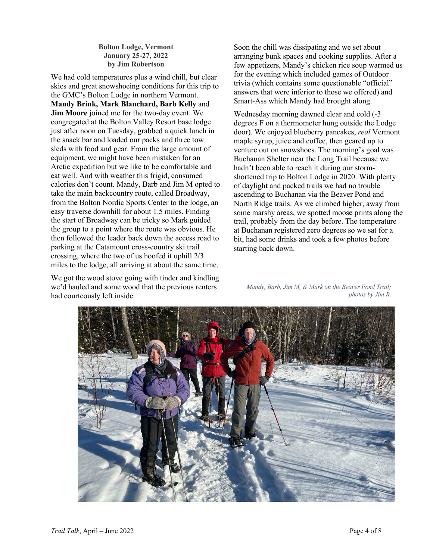**Bolton Lodge, Vermont January 25-27, 2022 by Jim Robertson**

We had cold temperatures plus a wind chill, but clear skies and great snowshoeing conditions for this trip to the GMC's Bolton Lodge in northern Vermont. **Mandy Brink, Mark Blanchard, Barb Kelly** and **Jim Moore** joined me for the two-day event. We congregated at the Bolton Valley Resort base lodge just after noon on Tuesday, grabbed a quick lunch in the snack bar and loaded our packs and three tow sleds with food and gear. From the large amount of equipment, we might have been mistaken for an Arctic expedition but we like to be comfortable and eat well. And with weather this frigid, consumed calories don't count. Mandy, Barb and Jim M opted to take the main backcountry route, called Broadway, from the Bolton Nordic Sports Center to the lodge, an easy traverse downhill for about 1.5 miles. Finding the start of Broadway can be tricky so Mark guided the group to a point where the route was obvious. He then followed the leader back down the access road to parking at the Catamount cross-country ski trail crossing, where the two of us hoofed it uphill 2/3 miles to the lodge, all arriving at about the same time.

We got the wood stove going with tinder and kindling we'd hauled and some wood that the previous renters had courteously left inside.

Soon the chill was dissipating and we set about arranging bunk spaces and cooking supplies. After a few appetizers, Mandy's chicken rice soup warmed us for the evening which included games of Outdoor trivia (which contains some questionable "official" answers that were inferior to those we offered) and Smart-Ass which Mandy had brought along.

Wednesday morning dawned clear and cold (-3 degrees F on a thermometer hung outside the Lodge door). We enjoyed blueberry pancakes, *real* Vermont maple syrup, juice and coffee, then geared up to venture out on snowshoes. The morning's goal was Buchanan Shelter near the Long Trail because we hadn't been able to reach it during our stormshortened trip to Bolton Lodge in 2020. With plenty of daylight and packed trails we had no trouble ascending to Buchanan via the Beaver Pond and North Ridge trails. As we climbed higher, away from some marshy areas, we spotted moose prints along the trail, probably from the day before. The temperature at Buchanan registered zero degrees so we sat for a bit, had some drinks and took a few photos before starting back down.

*Mandy, Barb, Jim M, & Mark on the Beaver Pond Trail; photos by Jim R.*

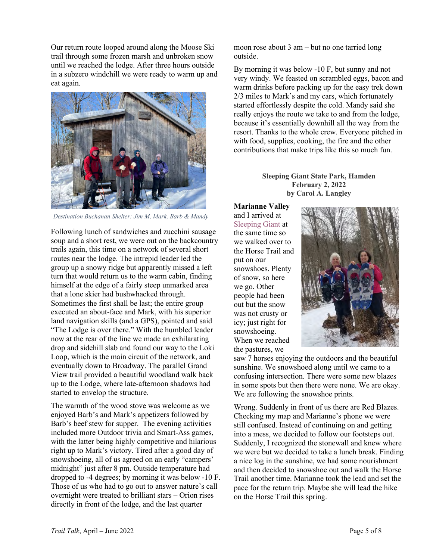Our return route looped around along the Moose Ski trail through some frozen marsh and unbroken snow until we reached the lodge. After three hours outside in a subzero windchill we were ready to warm up and eat again.



*Destination Buchanan Shelter: Jim M, Mark, Barb & Mandy*

Following lunch of sandwiches and zucchini sausage soup and a short rest, we were out on the backcountry trails again, this time on a network of several short routes near the lodge. The intrepid leader led the group up a snowy ridge but apparently missed a left turn that would return us to the warm cabin, finding himself at the edge of a fairly steep unmarked area that a lone skier had bushwhacked through. Sometimes the first shall be last; the entire group executed an about-face and Mark, with his superior land navigation skills (and a GPS), pointed and said "The Lodge is over there." With the humbled leader now at the rear of the line we made an exhilarating drop and sidehill slab and found our way to the Loki Loop, which is the main circuit of the network, and eventually down to Broadway. The parallel Grand View trail provided a beautiful woodland walk back up to the Lodge, where late-afternoon shadows had started to envelop the structure.

The warmth of the wood stove was welcome as we enjoyed Barb's and Mark's appetizers followed by Barb's beef stew for supper. The evening activities included more Outdoor trivia and Smart-Ass games, with the latter being highly competitive and hilarious right up to Mark's victory. Tired after a good day of snowshoeing, all of us agreed on an early "campers' midnight" just after 8 pm. Outside temperature had dropped to -4 degrees; by morning it was below -10 F. Those of us who had to go out to answer nature's call overnight were treated to brilliant stars – Orion rises directly in front of the lodge, and the last quarter

moon rose about 3 am – but no one tarried long outside.

By morning it was below -10 F, but sunny and not very windy. We feasted on scrambled eggs, bacon and warm drinks before packing up for the easy trek down 2/3 miles to Mark's and my cars, which fortunately started effortlessly despite the cold. Mandy said she really enjoys the route we take to and from the lodge, because it's essentially downhill all the way from the resort. Thanks to the whole crew. Everyone pitched in with food, supplies, cooking, the fire and the other contributions that make trips like this so much fun.

#### **Sleeping Giant State Park, Hamden February 2, 2022 by Carol A. Langley**

**Marianne Valley** and I arrived at Sleeping Giant at the same time so we walked over to the Horse Trail and put on our snowshoes. Plenty of snow, so here we go. Other people had been out but the snow was not crusty or icy; just right for snowshoeing. When we reached the pastures, we



saw 7 horses enjoying the outdoors and the beautiful sunshine. We snowshoed along until we came to a confusing intersection. There were some new blazes in some spots but then there were none. We are okay. We are following the snowshoe prints.

Wrong. Suddenly in front of us there are Red Blazes. Checking my map and Marianne's phone we were still confused. Instead of continuing on and getting into a mess, we decided to follow our footsteps out. Suddenly, I recognized the stonewall and knew where we were but we decided to take a lunch break. Finding a nice log in the sunshine, we had some nourishment and then decided to snowshoe out and walk the Horse Trail another time. Marianne took the lead and set the pace for the return trip. Maybe she will lead the hike on the Horse Trail this spring.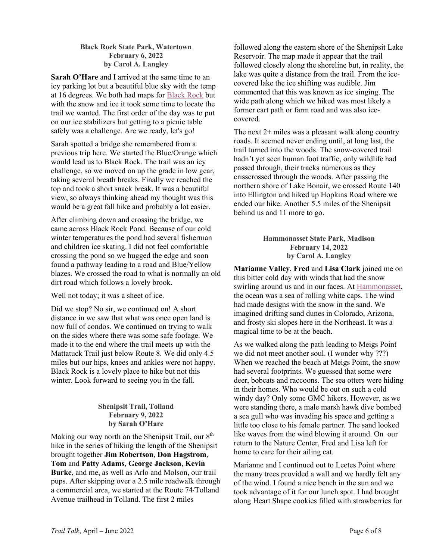## **Black Rock State Park, Watertown February 6, 2022 by Carol A. Langley**

**Sarah O'Hare** and I arrived at the same time to an icy parking lot but a beautiful blue sky with the temp at 16 degrees. We both had maps for Black Rock but with the snow and ice it took some time to locate the trail we wanted. The first order of the day was to put on our ice stabilizers but getting to a picnic table safely was a challenge. Are we ready, let's go!

Sarah spotted a bridge she remembered from a previous trip here. We started the Blue/Orange which would lead us to Black Rock. The trail was an icy challenge, so we moved on up the grade in low gear, taking several breath breaks. Finally we reached the top and took a short snack break. It was a beautiful view, so always thinking ahead my thought was this would be a great fall hike and probably a lot easier.

After climbing down and crossing the bridge, we came across Black Rock Pond. Because of our cold winter temperatures the pond had several fisherman and children ice skating. I did not feel comfortable crossing the pond so we hugged the edge and soon found a pathway leading to a road and Blue/Yellow blazes. We crossed the road to what is normally an old dirt road which follows a lovely brook.

Well not today; it was a sheet of ice.

Did we stop? No sir, we continued on! A short distance in we saw that what was once open land is now full of condos. We continued on trying to walk on the sides where there was some safe footage. We made it to the end where the trail meets up with the Mattatuck Trail just below Route 8. We did only 4.5 miles but our hips, knees and ankles were not happy. Black Rock is a lovely place to hike but not this winter. Look forward to seeing you in the fall.

#### **Shenipsit Trail, Tolland February 9, 2022 by Sarah O'Hare**

Making our way north on the Shenipsit Trail, our  $8<sup>th</sup>$ hike in the series of hiking the length of the Shenipsit brought together **Jim Robertson**, **Don Hagstrom**, **Tom** and **Patty Adams**, **George Jackson**, **Kevin Burke**, and me, as well as Arlo and Molson, our trail pups. After skipping over a 2.5 mile roadwalk through a commercial area, we started at the Route 74/Tolland Avenue trailhead in Tolland. The first 2 miles

followed along the eastern shore of the Shenipsit Lake Reservoir. The map made it appear that the trail followed closely along the shoreline but, in reality, the lake was quite a distance from the trail. From the icecovered lake the ice shifting was audible. Jim commented that this was known as ice singing. The wide path along which we hiked was most likely a former cart path or farm road and was also icecovered.

The next 2+ miles was a pleasant walk along country roads. It seemed never ending until, at long last, the trail turned into the woods. The snow-covered trail hadn't yet seen human foot traffic, only wildlife had passed through, their tracks numerous as they crisscrossed through the woods. After passing the northern shore of Lake Bonair, we crossed Route 140 into Ellington and hiked up Hopkins Road where we ended our hike. Another 5.5 miles of the Shenipsit behind us and 11 more to go.

#### **Hammonasset State Park, Madison February 14, 2022 by Carol A. Langley**

**Marianne Valley**, **Fred** and **Lisa Clark** joined me on this bitter cold day with winds that had the snow swirling around us and in our faces. At Hammonasset, the ocean was a sea of rolling white caps. The wind had made designs with the snow in the sand. We imagined drifting sand dunes in Colorado, Arizona, and frosty ski slopes here in the Northeast. It was a magical time to be at the beach.

As we walked along the path leading to Meigs Point we did not meet another soul. (I wonder why ???) When we reached the beach at Meigs Point, the snow had several footprints. We guessed that some were deer, bobcats and raccoons. The sea otters were hiding in their homes. Who would be out on such a cold windy day? Only some GMC hikers. However, as we were standing there, a male marsh hawk dive bombed a sea gull who was invading his space and getting a little too close to his female partner. The sand looked like waves from the wind blowing it around. On our return to the Nature Center, Fred and Lisa left for home to care for their ailing cat.

Marianne and I continued out to Leetes Point where the many trees provided a wall and we hardly felt any of the wind. I found a nice bench in the sun and we took advantage of it for our lunch spot. I had brought along Heart Shape cookies filled with strawberries for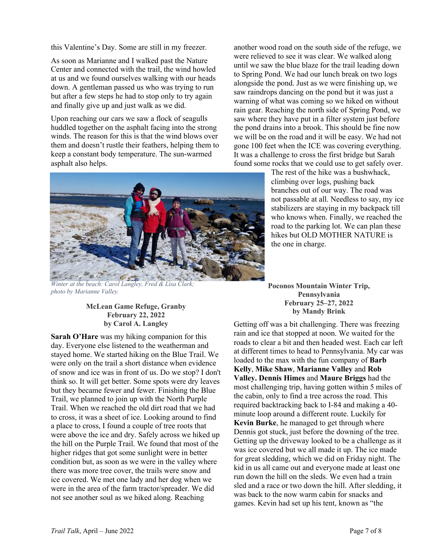this Valentine's Day. Some are still in my freezer.

As soon as Marianne and I walked past the Nature Center and connected with the trail, the wind howled at us and we found ourselves walking with our heads down. A gentleman passed us who was trying to run but after a few steps he had to stop only to try again and finally give up and just walk as we did.

Upon reaching our cars we saw a flock of seagulls huddled together on the asphalt facing into the strong winds. The reason for this is that the wind blows over them and doesn't rustle their feathers, helping them to keep a constant body temperature. The sun-warmed asphalt also helps.

*Winter at the beach: Carol Langley, Fred & Lisa Clark; photo by Marianne Valley.*

## **McLean Game Refuge, Granby February 22, 2022 by Carol A. Langley**

**Sarah O'Hare** was my hiking companion for this day. Everyone else listened to the weatherman and stayed home. We started hiking on the Blue Trail. We were only on the trail a short distance when evidence of snow and ice was in front of us. Do we stop? I don't think so. It will get better. Some spots were dry leaves but they became fewer and fewer. Finishing the Blue Trail, we planned to join up with the North Purple Trail. When we reached the old dirt road that we had to cross, it was a sheet of ice. Looking around to find a place to cross, I found a couple of tree roots that were above the ice and dry. Safely across we hiked up the hill on the Purple Trail. We found that most of the higher ridges that got some sunlight were in better condition but, as soon as we were in the valley where there was more tree cover, the trails were snow and ice covered. We met one lady and her dog when we were in the area of the farm tractor/spreader. We did not see another soul as we hiked along. Reaching

another wood road on the south side of the refuge, we were relieved to see it was clear. We walked along until we saw the blue blaze for the trail leading down to Spring Pond. We had our lunch break on two logs alongside the pond. Just as we were finishing up, we saw raindrops dancing on the pond but it was just a warning of what was coming so we hiked on without rain gear. Reaching the north side of Spring Pond, we saw where they have put in a filter system just before the pond drains into a brook. This should be fine now we will be on the road and it will be easy. We had not gone 100 feet when the ICE was covering everything. It was a challenge to cross the first bridge but Sarah found some rocks that we could use to get safely over.

> The rest of the hike was a bushwhack, climbing over logs, pushing back branches out of our way. The road was not passable at all. Needless to say, my ice stabilizers are staying in my backpack till who knows when. Finally, we reached the road to the parking lot. We can plan these hikes but OLD MOTHER NATURE is the one in charge.

**Poconos Mountain Winter Trip, Pennsylvania February 25–27, 2022 by Mandy Brink**

Getting off was a bit challenging. There was freezing rain and ice that stopped at noon. We waited for the roads to clear a bit and then headed west. Each car left at different times to head to Pennsylvania. My car was loaded to the max with the fun company of **Barb Kelly**, **Mike Shaw**, **Marianne Valley** and **Rob Valley. Dennis Himes** and **Maure Briggs** had the most challenging trip, having gotten within 5 miles of the cabin, only to find a tree across the road. This required backtracking back to I-84 and making a 40 minute loop around a different route. Luckily for **Kevin Burke**, he managed to get through where Dennis got stuck, just before the downing of the tree. Getting up the driveway looked to be a challenge as it was ice covered but we all made it up. The ice made for great sledding, which we did on Friday night. The kid in us all came out and everyone made at least one run down the hill on the sleds. We even had a train sled and a race or two down the hill. After sledding, it was back to the now warm cabin for snacks and games. Kevin had set up his tent, known as "the